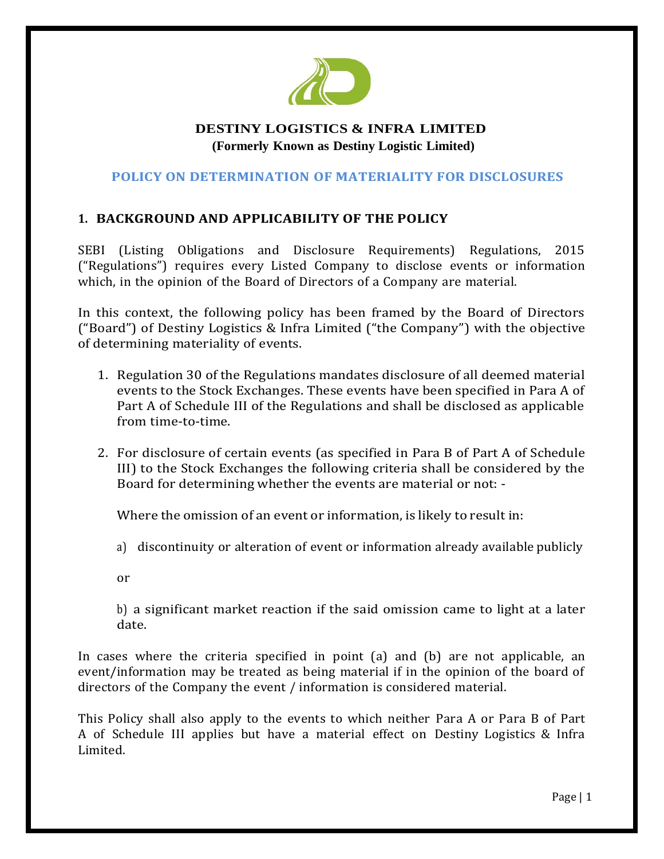

# **DESTINY LOGISTICS & INFRA LIMITED (Formerly Known as Destiny Logistic Limited)**

#### **POLICY ON DETERMINATION OF MATERIALITY FOR DISCLOSURES**

### **1. BACKGROUND AND APPLICABILITY OF THE POLICY**

SEBI (Listing Obligations and Disclosure Requirements) Regulations, 2015 ("Regulations") requires every Listed Company to disclose events or information which, in the opinion of the Board of Directors of a Company are material.

In this context, the following policy has been framed by the Board of Directors ("Board") of Destiny Logistics & Infra Limited ("the Company") with the objective of determining materiality of events.

- 1. Regulation 30 of the Regulations mandates disclosure of all deemed material events to the Stock Exchanges. These events have been specified in Para A of Part A of Schedule III of the Regulations and shall be disclosed as applicable from time-to-time.
- 2. For disclosure of certain events (as specified in Para B of Part A of Schedule III) to the Stock Exchanges the following criteria shall be considered by the Board for determining whether the events are material or not: -

Where the omission of an event or information, is likely to result in:

- a) discontinuity or alteration of event or information already available publicly
- or

b) a significant market reaction if the said omission came to light at a later date.

In cases where the criteria specified in point (a) and (b) are not applicable, an event/information may be treated as being material if in the opinion of the board of directors of the Company the event / information is considered material.

This Policy shall also apply to the events to which neither Para A or Para B of Part A of Schedule III applies but have a material effect on Destiny Logistics & Infra Limited.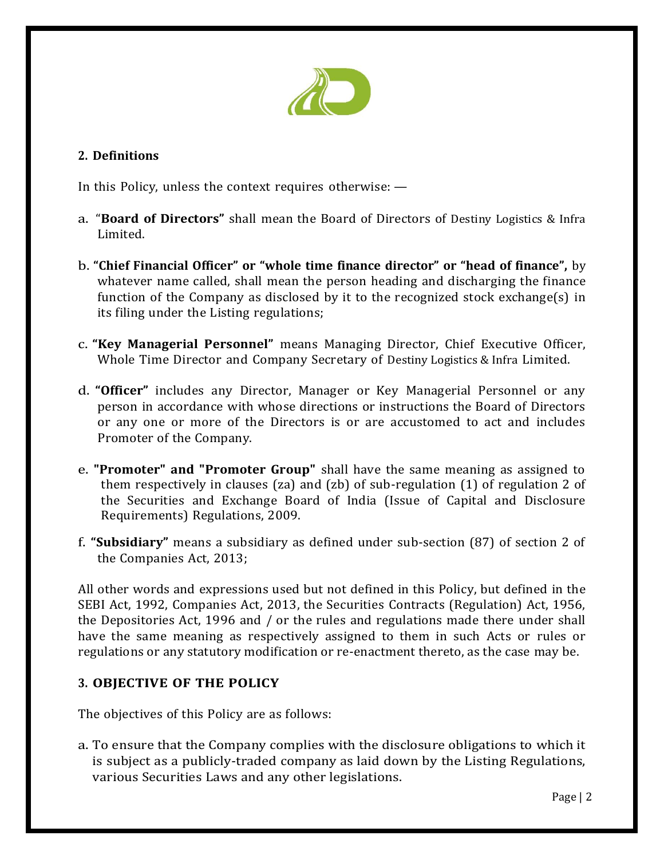

### **2. Definitions**

In this Policy, unless the context requires otherwise: —

- a. "**Board of Directors"** shall mean the Board of Directors of Destiny Logistics & Infra Limited.
- b. **"Chief Financial Officer" or "whole time finance director" or "head of finance",** by whatever name called, shall mean the person heading and discharging the finance function of the Company as disclosed by it to the recognized stock exchange(s) in its filing under the Listing regulations;
- c. **"Key Managerial Personnel"** means Managing Director, Chief Executive Officer, Whole Time Director and Company Secretary of Destiny Logistics & Infra Limited.
- d. **"Officer"** includes any Director, Manager or Key Managerial Personnel or any person in accordance with whose directions or instructions the Board of Directors or any one or more of the Directors is or are accustomed to act and includes Promoter of the Company.
- e. **"Promoter" and "Promoter Group"** shall have the same meaning as assigned to them respectively in clauses (za) and (zb) of sub-regulation (1) of regulation 2 of the Securities and Exchange Board of India (Issue of Capital and Disclosure Requirements) Regulations, 2009.
- f. **"Subsidiary"** means a subsidiary as defined under sub-section (87) of section 2 of the Companies Act, 2013;

All other words and expressions used but not defined in this Policy, but defined in the SEBI Act, 1992, Companies Act, 2013, the Securities Contracts (Regulation) Act, 1956, the Depositories Act, 1996 and / or the rules and regulations made there under shall have the same meaning as respectively assigned to them in such Acts or rules or regulations or any statutory modification or re-enactment thereto, as the case may be.

# **3. OBJECTIVE OF THE POLICY**

The objectives of this Policy are as follows:

a. To ensure that the Company complies with the disclosure obligations to which it is subject as a publicly-traded company as laid down by the Listing Regulations, various Securities Laws and any other legislations.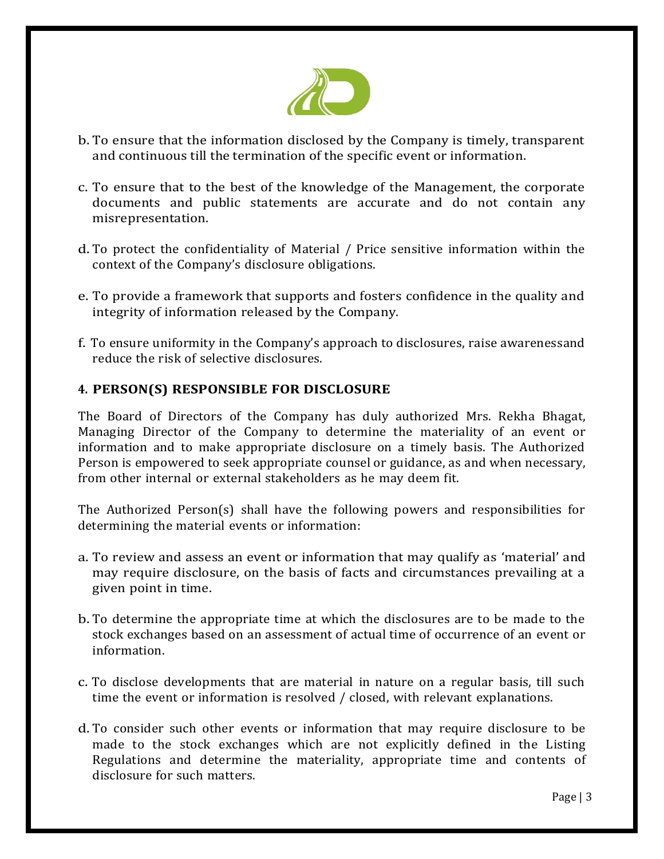

- b. To ensure that the information disclosed by the Company is timely, transparent and continuous till the termination of the specific event or information.
- c. To ensure that to the best of the knowledge of the Management, the corporate documents and public statements are accurate and do not contain any misrepresentation.
- d. To protect the confidentiality of Material / Price sensitive information within the context of the Company's disclosure obligations.
- e. To provide a framework that supports and fosters confidence in the quality and integrity of information released by the Company.
- f. To ensure uniformity in the Company's approach to disclosures, raise awarenessand reduce the risk of selective disclosures.

### **4. PERSON(S) RESPONSIBLE FOR DISCLOSURE**

The Board of Directors of the Company has duly authorized Mrs. Rekha Bhagat, Managing Director of the Company to determine the materiality of an event or information and to make appropriate disclosure on a timely basis. The Authorized Person is empowered to seek appropriate counsel or guidance, as and when necessary, from other internal or external stakeholders as he may deem fit.

The Authorized Person(s) shall have the following powers and responsibilities for determining the material events or information:

- a. To review and assess an event or information that may qualify as 'material' and may require disclosure, on the basis of facts and circumstances prevailing at a given point in time.
- b. To determine the appropriate time at which the disclosures are to be made to the stock exchanges based on an assessment of actual time of occurrence of an event or information.
- c. To disclose developments that are material in nature on a regular basis, till such time the event or information is resolved / closed, with relevant explanations.
- d. To consider such other events or information that may require disclosure to be made to the stock exchanges which are not explicitly defined in the Listing Regulations and determine the materiality, appropriate time and contents of disclosure for such matters.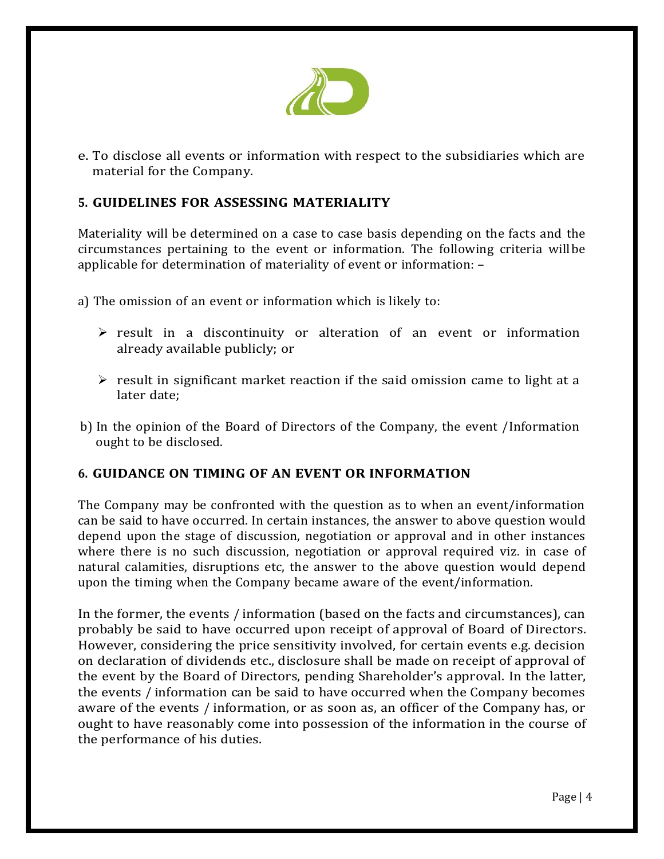

e. To disclose all events or information with respect to the subsidiaries which are material for the Company.

## **5. GUIDELINES FOR ASSESSING MATERIALITY**

Materiality will be determined on a case to case basis depending on the facts and the circumstances pertaining to the event or information. The following criteria willbe applicable for determination of materiality of event or information: –

a) The omission of an event or information which is likely to:

- $\triangleright$  result in a discontinuity or alteration of an event or information already available publicly; or
- $\triangleright$  result in significant market reaction if the said omission came to light at a later date;
- b) In the opinion of the Board of Directors of the Company, the event /Information ought to be disclosed.

### **6. GUIDANCE ON TIMING OF AN EVENT OR INFORMATION**

The Company may be confronted with the question as to when an event/information can be said to have occurred. In certain instances, the answer to above question would depend upon the stage of discussion, negotiation or approval and in other instances where there is no such discussion, negotiation or approval required viz. in case of natural calamities, disruptions etc, the answer to the above question would depend upon the timing when the Company became aware of the event/information.

In the former, the events / information (based on the facts and circumstances), can probably be said to have occurred upon receipt of approval of Board of Directors. However, considering the price sensitivity involved, for certain events e.g. decision on declaration of dividends etc., disclosure shall be made on receipt of approval of the event by the Board of Directors, pending Shareholder's approval. In the latter, the events / information can be said to have occurred when the Company becomes aware of the events / information, or as soon as, an officer of the Company has, or ought to have reasonably come into possession of the information in the course of the performance of his duties.